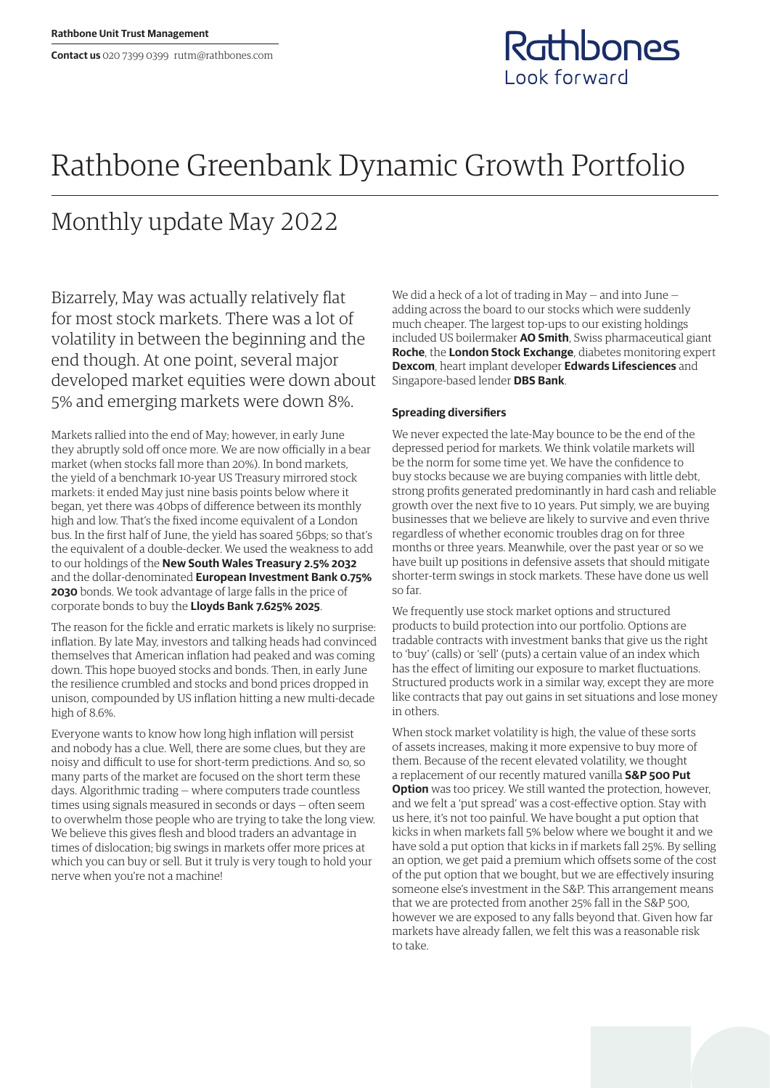## Rathbones Look forward

## Rathbone Greenbank Dynamic Growth Portfolio

## Monthly update May 2022

Bizarrely, May was actually relatively flat for most stock markets. There was a lot of volatility in between the beginning and the end though. At one point, several major developed market equities were down about 5% and emerging markets were down 8%.

Markets rallied into the end of May; however, in early June they abruptly sold off once more. We are now officially in a bear market (when stocks fall more than 20%). In bond markets, the yield of a benchmark 10-year US Treasury mirrored stock markets: it ended May just nine basis points below where it began, yet there was 40bps of difference between its monthly high and low. That's the fixed income equivalent of a London bus. In the first half of June, the yield has soared 56bps; so that's the equivalent of a double-decker. We used the weakness to add to our holdings of the **New South Wales Treasury 2.5% 2032** and the dollar-denominated **European Investment Bank 0.75% 2030** bonds. We took advantage of large falls in the price of corporate bonds to buy the **Lloyds Bank 7.625% 2025**.

The reason for the fickle and erratic markets is likely no surprise: inflation. By late May, investors and talking heads had convinced themselves that American inflation had peaked and was coming down. This hope buoyed stocks and bonds. Then, in early June the resilience crumbled and stocks and bond prices dropped in unison, compounded by US inflation hitting a new multi-decade high of 8.6%.

Everyone wants to know how long high inflation will persist and nobody has a clue. Well, there are some clues, but they are noisy and difficult to use for short-term predictions. And so, so many parts of the market are focused on the short term these days. Algorithmic trading — where computers trade countless times using signals measured in seconds or days — often seem to overwhelm those people who are trying to take the long view. We believe this gives flesh and blood traders an advantage in times of dislocation; big swings in markets offer more prices at which you can buy or sell. But it truly is very tough to hold your nerve when you're not a machine!

We did a heck of a lot of trading in May — and into June adding across the board to our stocks which were suddenly much cheaper. The largest top-ups to our existing holdings included US boilermaker **AO Smith**, Swiss pharmaceutical giant **Roche**, the **London Stock Exchange**, diabetes monitoring expert **Dexcom**, heart implant developer **Edwards Lifesciences** and Singapore-based lender **DBS Bank**.

## **Spreading diversifiers**

We never expected the late-May bounce to be the end of the depressed period for markets. We think volatile markets will be the norm for some time yet. We have the confidence to buy stocks because we are buying companies with little debt, strong profits generated predominantly in hard cash and reliable growth over the next five to 10 years. Put simply, we are buying businesses that we believe are likely to survive and even thrive regardless of whether economic troubles drag on for three months or three years. Meanwhile, over the past year or so we have built up positions in defensive assets that should mitigate shorter-term swings in stock markets. These have done us well so far.

We frequently use stock market options and structured products to build protection into our portfolio. Options are tradable contracts with investment banks that give us the right to 'buy' (calls) or 'sell' (puts) a certain value of an index which has the effect of limiting our exposure to market fluctuations. Structured products work in a similar way, except they are more like contracts that pay out gains in set situations and lose money in others.

When stock market volatility is high, the value of these sorts of assets increases, making it more expensive to buy more of them. Because of the recent elevated volatility, we thought a replacement of our recently matured vanilla **S&P 500 Put Option** was too pricey. We still wanted the protection, however, and we felt a 'put spread' was a cost-effective option. Stay with us here, it's not too painful. We have bought a put option that kicks in when markets fall 5% below where we bought it and we have sold a put option that kicks in if markets fall 25%. By selling an option, we get paid a premium which offsets some of the cost of the put option that we bought, but we are effectively insuring someone else's investment in the S&P. This arrangement means that we are protected from another 25% fall in the S&P 500, however we are exposed to any falls beyond that. Given how far markets have already fallen, we felt this was a reasonable risk to take.